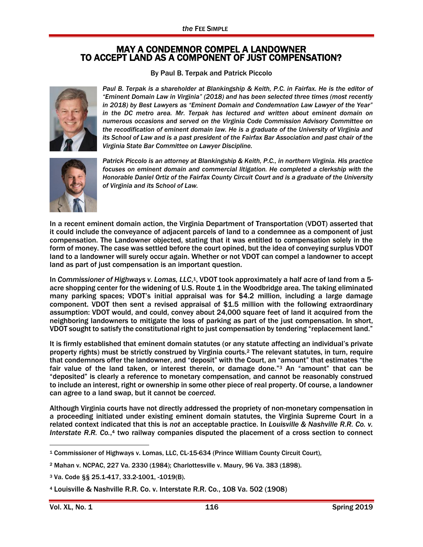## MAY A CONDEMNOR COMPEL A LANDOWNER TO ACCEPT LAND AS A COMPONENT OF JUST COMPENSATION?

By Paul B. Terpak and Patrick Piccolo



*Paul B. Terpak is a shareholder at Blankingship & Keith, P.C. in Fairfax. He is the editor of "Eminent Domain Law in Virginia" (2018) and has been selected three times (most recently in 2018) by Best Lawyers as "Eminent Domain and Condemnation Law Lawyer of the Year"*  in the DC metro area. Mr. Terpak has lectured and written about eminent domain on *numerous occasions and served on the Virginia Code Commission Advisory Committee on the recodification of eminent domain law. He is a graduate of the University of Virginia and its School of Law and is a past president of the Fairfax Bar Association and past chair of the Virginia State Bar Committee on Lawyer Discipline.*



*Patrick Piccolo is an attorney at Blankingship & Keith, P.C., in northern Virginia. His practice focuses on eminent domain and commercial litigation. He completed a clerkship with the Honorable Daniel Ortiz of the Fairfax County Circuit Court and is a graduate of the University of Virginia and its School of Law.*

In a recent eminent domain action, the Virginia Department of Transportation (VDOT) asserted that it could include the conveyance of adjacent parcels of land to a condemnee as a component of just compensation. The Landowner objected, stating that it was entitled to compensation solely in the form of money. The case was settled before the court opined, but the idea of conveying surplus VDOT land to a landowner will surely occur again. Whether or not VDOT can compel a landowner to accept land as part of just compensation is an important question.

In *Commissioner of Highways v. Lomas, LLC*,<sup>1</sup>, VDOT took approximately a half acre of land from a 5acre shopping center for the widening of U.S. Route 1 in the Woodbridge area. The taking eliminated many parking spaces; VDOT's initial appraisal was for \$4.2 million, including a large damage component. VDOT then sent a revised appraisal of \$1.5 million with the following extraordinary assumption: VDOT would, and could, convey about 24,000 square feet of land it acquired from the neighboring landowners to mitigate the loss of parking as part of the just compensation. In short, VDOT sought to satisfy the constitutional right to just compensation by tendering "replacement land."

It is firmly established that eminent domain statutes (or any statute affecting an individual's private property rights) must be strictly construed by Virginia courts.<sup>2</sup> The relevant statutes, in turn, require that condemnors offer the landowner, and "deposit" with the Court, an "amount" that estimates "the fair value of the land taken, or interest therein, or damage done."<sup>3</sup> An "amount" that can be "deposited" is clearly a reference to monetary compensation, and cannot be reasonably construed to include an interest, right or ownership in some other piece of real property. Of course, a landowner can agree to a land swap, but it cannot be *coerced*.

Although Virginia courts have not directly addressed the propriety of non-monetary compensation in a proceeding initiated under existing eminent domain statutes, the Virginia Supreme Court in a related context indicated that this is *not* an acceptable practice. In *Louisville & Nashville R.R. Co. v. Interstate R.R. Co.*, <sup>4</sup> two railway companies disputed the placement of a cross section to connect

 $\overline{a}$ 

<sup>1</sup> Commissioner of Highways v. Lomas, LLC, CL-15-634 (Prince William County Circuit Court),

<sup>2</sup> Mahan v. NCPAC, 227 Va. 2330 (1984); Charlottesville v. Maury, 96 Va. 383 (1898).

<sup>3</sup> Va. Code §§ 25.1-417, 33.2-1001, -1019(B).

<sup>4</sup> Louisville & Nashville R.R. Co. v. Interstate R.R. Co*.*, 108 Va. 502 (1908)